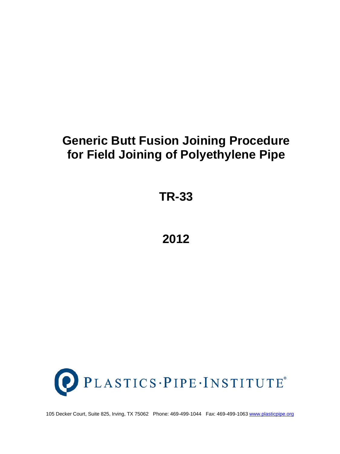# **Generic Butt Fusion Joining Procedure for Field Joining of Polyethylene Pipe**

**TR-33**

**2012**



105 Decker Court, Suite 825, Irving, TX 75062 Phone: 469-499-1044 Fax: 469-499-1063 [www.plasticpipe.org](http://www.plasticpipe.org/)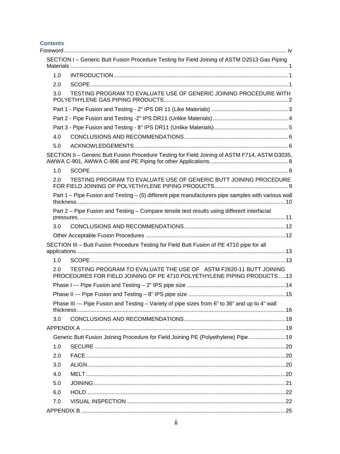#### **Contents**

|     | SECTION I - Generic Butt Fusion Procedure Testing for Field Joining of ASTM D2513 Gas Piping                                                  |  |
|-----|-----------------------------------------------------------------------------------------------------------------------------------------------|--|
| 1.0 |                                                                                                                                               |  |
| 2.0 |                                                                                                                                               |  |
| 3.0 | TESTING PROGRAM TO EVALUATE USE OF GENERIC JOINING PROCEDURE WITH                                                                             |  |
|     |                                                                                                                                               |  |
|     |                                                                                                                                               |  |
|     |                                                                                                                                               |  |
| 4.0 |                                                                                                                                               |  |
| 5.0 |                                                                                                                                               |  |
|     | SECTION II - Generic Butt Fusion Procedure Testing for Field Joining of ASTM F714, ASTM D3035,                                                |  |
| 1.0 |                                                                                                                                               |  |
| 2.0 | TESTING PROGRAM TO EVALUATE USE OF GENERIC BUTT JOINING PROCEDURE                                                                             |  |
|     | Part 1 – Pipe Fusion and Testing – (5) different pipe manufacturers pipe samples with various wall                                            |  |
|     | Part 2 - Pipe Fusion and Testing - Compare tensile test results using different interfacial                                                   |  |
| 3.0 |                                                                                                                                               |  |
|     |                                                                                                                                               |  |
|     | SECTION III - Butt Fusion Procedure Testing for Field Butt Fusion of PE 4710 pipe for all                                                     |  |
| 1.0 |                                                                                                                                               |  |
| 2.0 | TESTING PROGRAM TO EVALUATE THE USE OF ASTM F2620-11 BUTT JOINING<br>PROCEDURES FOR FIELD JOINING OF PE 4710 POLYETHYLENE PIPING PRODUCTS  13 |  |
|     |                                                                                                                                               |  |
|     |                                                                                                                                               |  |
|     | Phase III --- Pipe Fusion and Testing - Variety of pipe sizes from 6" to 36" and up to 4" wall                                                |  |
| 3.0 |                                                                                                                                               |  |
|     |                                                                                                                                               |  |
|     | Generic Butt Fusion Joining Procedure for Field Joining PE (Polyethylene) Pipe 19                                                             |  |
| 1.0 |                                                                                                                                               |  |
| 2.0 |                                                                                                                                               |  |
| 3.0 |                                                                                                                                               |  |
| 4.0 |                                                                                                                                               |  |
| 5.0 |                                                                                                                                               |  |
| 6.0 |                                                                                                                                               |  |
| 7.0 |                                                                                                                                               |  |
|     |                                                                                                                                               |  |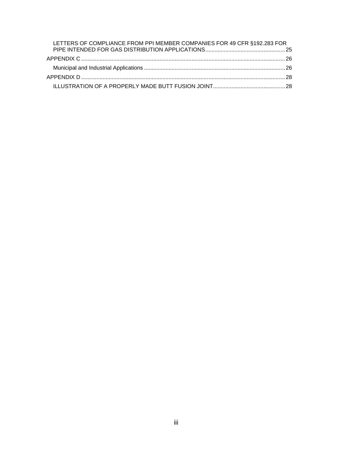| LETTERS OF COMPLIANCE FROM PPI MEMBER COMPANIES FOR 49 CFR §192.283 FOR |  |
|-------------------------------------------------------------------------|--|
|                                                                         |  |
|                                                                         |  |
|                                                                         |  |
|                                                                         |  |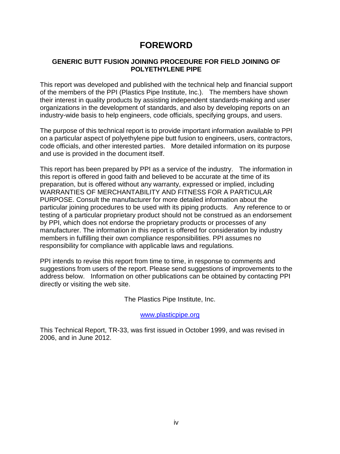## **FOREWORD**

#### <span id="page-3-0"></span>**GENERIC BUTT FUSION JOINING PROCEDURE FOR FIELD JOINING OF POLYETHYLENE PIPE**

This report was developed and published with the technical help and financial support of the members of the PPI (Plastics Pipe Institute, Inc.). The members have shown their interest in quality products by assisting independent standards-making and user organizations in the development of standards, and also by developing reports on an industry-wide basis to help engineers, code officials, specifying groups, and users.

The purpose of this technical report is to provide important information available to PPI on a particular aspect of polyethylene pipe butt fusion to engineers, users, contractors, code officials, and other interested parties. More detailed information on its purpose and use is provided in the document itself.

This report has been prepared by PPI as a service of the industry. The information in this report is offered in good faith and believed to be accurate at the time of its preparation, but is offered without any warranty, expressed or implied, including WARRANTIES OF MERCHANTABILITY AND FITNESS FOR A PARTICULAR PURPOSE. Consult the manufacturer for more detailed information about the particular joining procedures to be used with its piping products. Any reference to or testing of a particular proprietary product should not be construed as an endorsement by PPI, which does not endorse the proprietary products or processes of any manufacturer. The information in this report is offered for consideration by industry members in fulfilling their own compliance responsibilities. PPI assumes no responsibility for compliance with applicable laws and regulations.

PPI intends to revise this report from time to time, in response to comments and suggestions from users of the report. Please send suggestions of improvements to the address below. Information on other publications can be obtained by contacting PPI directly or visiting the web site.

The Plastics Pipe Institute, Inc.

[www.plasticpipe.org](http://www.plasticpipe.org/)

This Technical Report, TR-33, was first issued in October 1999, and was revised in 2006, and in June 2012.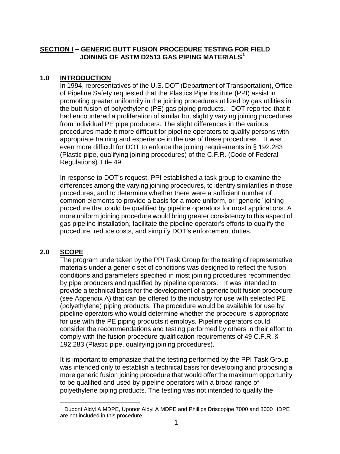#### <span id="page-4-0"></span>**SECTION I – GENERIC BUTT FUSION PROCEDURE TESTING FOR FIELD JOINING OF ASTM D2513 GAS PIPING MATERIALS[1](#page-4-3)**

#### <span id="page-4-1"></span>**1.0 INTRODUCTION**

In 1994, representatives of the U.S. DOT (Department of Transportation), Office of Pipeline Safety requested that the Plastics Pipe Institute (PPI) assist in promoting greater uniformity in the joining procedures utilized by gas utilities in the butt fusion of polyethylene (PE) gas piping products. DOT reported that it had encountered a proliferation of similar but slightly varying joining procedures from individual PE pipe producers. The slight differences in the various procedures made it more difficult for pipeline operators to qualify persons with appropriate training and experience in the use of these procedures. It was even more difficult for DOT to enforce the joining requirements in § 192.283 (Plastic pipe, qualifying joining procedures) of the C.F.R. (Code of Federal Regulations) Title 49.

In response to DOT's request, PPI established a task group to examine the differences among the varying joining procedures, to identify similarities in those procedures, and to determine whether there were a sufficient number of common elements to provide a basis for a more uniform, or "generic" joining procedure that could be qualified by pipeline operators for most applications. A more uniform joining procedure would bring greater consistency to this aspect of gas pipeline installation, facilitate the pipeline operator's efforts to qualify the procedure, reduce costs, and simplify DOT's enforcement duties.

#### <span id="page-4-2"></span>**2.0 SCOPE**

The program undertaken by the PPI Task Group for the testing of representative materials under a generic set of conditions was designed to reflect the fusion conditions and parameters specified in most joining procedures recommended by pipe producers and qualified by pipeline operators. It was intended to provide a technical basis for the development of a generic butt fusion procedure (see Appendix A) that can be offered to the industry for use with selected PE (polyethylene) piping products. The procedure would be available for use by pipeline operators who would determine whether the procedure is appropriate for use with the PE piping products it employs. Pipeline operators could consider the recommendations and testing performed by others in their effort to comply with the fusion procedure qualification requirements of 49 C.F.R. § 192.283 (Plastic pipe, qualifying joining procedures).

It is important to emphasize that the testing performed by the PPI Task Group was intended only to establish a technical basis for developing and proposing a more generic fusion joining procedure that would offer the maximum opportunity to be qualified and used by pipeline operators with a broad range of polyethylene piping products. The testing was not intended to qualify the

<span id="page-4-3"></span> <sup>1</sup> Dupont Aldyl A MDPE, Uponor Aldyl A MDPE and Phillips Driscopipe 7000 and 8000 HDPE are not included in this procedure.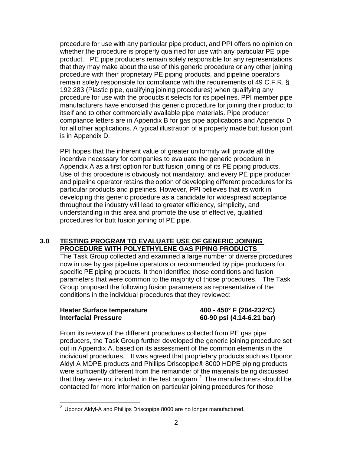procedure for use with any particular pipe product, and PPI offers no opinion on whether the procedure is properly qualified for use with any particular PE pipe product. PE pipe producers remain solely responsible for any representations that they may make about the use of this generic procedure or any other joining procedure with their proprietary PE piping products, and pipeline operators remain solely responsible for compliance with the requirements of 49 C.F.R. § 192.283 (Plastic pipe, qualifying joining procedures) when qualifying any procedure for use with the products it selects for its pipelines. PPI member pipe manufacturers have endorsed this generic procedure for joining their product to itself and to other commercially available pipe materials. Pipe producer compliance letters are in Appendix B for gas pipe applications and Appendix D for all other applications. A typical illustration of a properly made butt fusion joint is in Appendix D.

PPI hopes that the inherent value of greater uniformity will provide all the incentive necessary for companies to evaluate the generic procedure in Appendix A as a first option for butt fusion joining of its PE piping products. Use of this procedure is obviously not mandatory, and every PE pipe producer and pipeline operator retains the option of developing different procedures for its particular products and pipelines. However, PPI believes that its work in developing this generic procedure as a candidate for widespread acceptance throughout the industry will lead to greater efficiency, simplicity, and understanding in this area and promote the use of effective, qualified procedures for butt fusion joining of PE pipe.

#### <span id="page-5-0"></span>**3.0 TESTING PROGRAM TO EVALUATE USE OF GENERIC JOINING PROCEDURE WITH POLYETHYLENE GAS PIPING PRODUCTS**

The Task Group collected and examined a large number of diverse procedures now in use by gas pipeline operators or recommended by pipe producers for specific PE piping products. It then identified those conditions and fusion parameters that were common to the majority of those procedures. The Task Group proposed the following fusion parameters as representative of the conditions in the individual procedures that they reviewed:

| <b>Heater Surface temperature</b> | 400 - 450° F (204-232°C)  |
|-----------------------------------|---------------------------|
| <b>Interfacial Pressure</b>       | 60-90 psi (4.14-6.21 bar) |

From its review of the different procedures collected from PE gas pipe producers, the Task Group further developed the generic joining procedure set out in Appendix A, based on its assessment of the common elements in the individual procedures. It was agreed that proprietary products such as Uponor Aldyl A MDPE products and Phillips Driscopipe® 8000 HDPE piping products were sufficiently different from the remainder of the materials being discussed that they were not included in the test program. $^2$  $^2$  The manufacturers should be contacted for more information on particular joining procedures for those

<span id="page-5-1"></span> $2$  Uponor Aldyl-A and Phillips Driscopipe 8000 are no longer manufactured.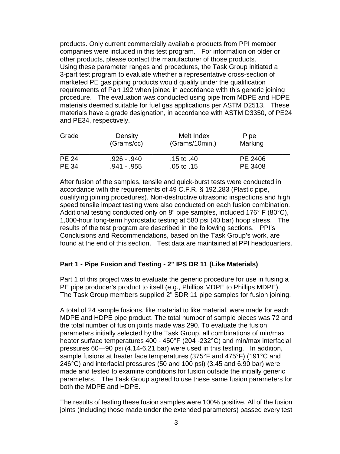products. Only current commercially available products from PPI member companies were included in this test program. For information on older or other products, please contact the manufacturer of those products. Using these parameter ranges and procedures, the Task Group initiated a 3-part test program to evaluate whether a representative cross-section of marketed PE gas piping products would qualify under the qualification requirements of Part 192 when joined in accordance with this generic joining procedure. The evaluation was conducted using pipe from MDPE and HDPE materials deemed suitable for fuel gas applications per ASTM D2513. These materials have a grade designation, in accordance with ASTM D3350, of PE24 and PE34, respectively.

| Grade        | Density<br>(Grams/cc) | Melt Index<br>(Grams/10min.) | Pipe<br>Marking |  |
|--------------|-----------------------|------------------------------|-----------------|--|
| <b>PE 24</b> | .926 - .940           | .15 to .40                   | PE 2406         |  |
| <b>PE 34</b> | .941 - .955           | .05 to $.15$                 | PE 3408         |  |

After fusion of the samples, tensile and quick-burst tests were conducted in accordance with the requirements of 49 C.F.R. § 192.283 (Plastic pipe, qualifying joining procedures). Non-destructive ultrasonic inspections and high speed tensile impact testing were also conducted on each fusion combination. Additional testing conducted only on 8" pipe samples, included 176° F (80°C), 1,000-hour long-term hydrostatic testing at 580 psi (40 bar) hoop stress. The results of the test program are described in the following sections. PPI's Conclusions and Recommendations, based on the Task Group's work, are found at the end of this section. Test data are maintained at PPI headquarters.

#### <span id="page-6-0"></span>**Part 1 - Pipe Fusion and Testing - 2" IPS DR 11 (Like Materials)**

Part 1 of this project was to evaluate the generic procedure for use in fusing a PE pipe producer's product to itself (e.g., Phillips MDPE to Phillips MDPE). The Task Group members supplied 2" SDR 11 pipe samples for fusion joining.

A total of 24 sample fusions, like material to like material, were made for each MDPE and HDPE pipe product. The total number of sample pieces was 72 and the total number of fusion joints made was 290. To evaluate the fusion parameters initially selected by the Task Group, all combinations of min/max heater surface temperatures 400 - 450°F (204 -232°C) and min/max interfacial pressures 60—90 psi (4.14-6.21 bar) were used in this testing. In addition, sample fusions at heater face temperatures (375°F and 475°F) (191°C and 246°C) and interfacial pressures (50 and 100 psi) (3.45 and 6.90 bar) were made and tested to examine conditions for fusion outside the initially generic parameters. The Task Group agreed to use these same fusion parameters for both the MDPE and HDPE.

The results of testing these fusion samples were 100% positive. All of the fusion joints (including those made under the extended parameters) passed every test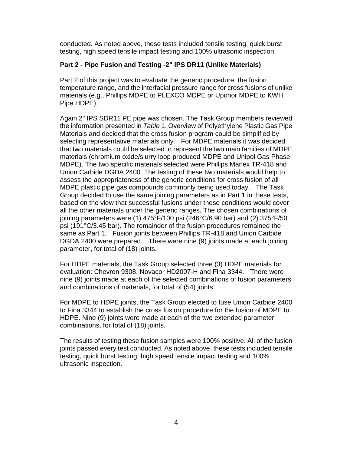conducted. As noted above, these tests included tensile testing, quick burst testing, high speed tensile impact testing and 100% ultrasonic inspection.

### <span id="page-7-0"></span>**Part 2 - Pipe Fusion and Testing -2" IPS DR11 (Unlike Materials)**

Part 2 of this project was to evaluate the generic procedure, the fusion temperature range, and the interfacial pressure range for cross fusions of unlike materials (e.g., Phillips MDPE to PLEXCO MDPE or Uponor MDPE to KWH Pipe HDPE).

Again 2" IPS SDR11 PE pipe was chosen. The Task Group members reviewed the information presented in *Table* 1. [Overview of Polyethylene Plastic Gas Pipe](#page-10-0)  [Materials](#page-10-0) and decided that the cross fusion program could be simplified by selecting representative materials only. For MDPE materials it was decided that two materials could be selected to represent the two main families of MDPE materials (chromium oxide/slurry loop produced MDPE and Unipol Gas Phase MDPE). The two specific materials selected were Phillips Marlex TR-418 and Union Carbide DGDA 2400. The testing of these two materials would help to assess the appropriateness of the generic conditions for cross fusion of all MDPE plastic pipe gas compounds commonly being used today. The Task Group decided to use the same joining parameters as in Part 1 in these tests, based on the view that successful fusions under these conditions would cover all the other materials under the generic ranges. The chosen combinations of joining parameters were (1) 475°F/100 psi (246°C/6.90 bar) and (2) 375°F/50 psi (191°C/3.45 bar). The remainder of the fusion procedures remained the same as Part 1. Fusion joints between Phillips TR-418 and Union Carbide DGDA 2400 were prepared. There were nine (9) joints made at each joining parameter, for total of (18) joints.

For HDPE materials, the Task Group selected three (3) HDPE materials for evaluation: Chevron 9308, Novacor HD2007-H and Fina 3344. There were nine (9) joints made at each of the selected combinations of fusion parameters and combinations of materials, for total of (54) joints.

For MDPE to HDPE joints, the Task Group elected to fuse Union Carbide 2400 to Fina 3344 to establish the cross fusion procedure for the fusion of MDPE to HDPE. Nine (9) joints were made at each of the two extended parameter combinations, for total of (18) joints.

The results of testing these fusion samples were 100% positive. All of the fusion joints passed every test conducted. As noted above, these tests included tensile testing, quick burst testing, high speed tensile impact testing and 100% ultrasonic inspection.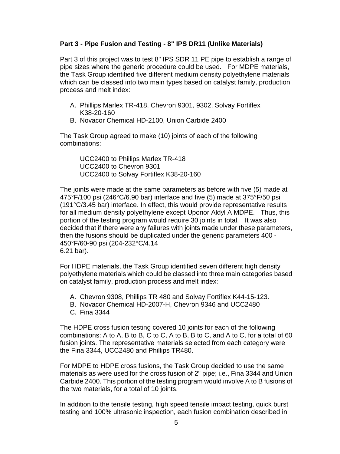#### <span id="page-8-0"></span>**Part 3 - Pipe Fusion and Testing - 8" IPS DR11 (Unlike Materials)**

Part 3 of this project was to test 8" IPS SDR 11 PE pipe to establish a range of pipe sizes where the generic procedure could be used. For MDPE materials, the Task Group identified five different medium density polyethylene materials which can be classed into two main types based on catalyst family, production process and melt index:

- A. Phillips Marlex TR-418, Chevron 9301, 9302, Solvay Fortiflex K38-20-160
- B. Novacor Chemical HD-2100, Union Carbide 2400

The Task Group agreed to make (10) joints of each of the following combinations:

UCC2400 to Phillips Marlex TR-418 UCC2400 to Chevron 9301 UCC2400 to Solvay Fortiflex K38-20-160

The joints were made at the same parameters as before with five (5) made at 475°F/100 psi (246°C/6.90 bar) interface and five (5) made at 375°F/50 psi (191°C/3.45 bar) interface. In effect, this would provide representative results for all medium density polyethylene except Uponor Aldyl A MDPE. Thus, this portion of the testing program would require 30 joints in total. It was also decided that if there were any failures with joints made under these parameters, then the fusions should be duplicated under the generic parameters 400 - 450°F/60-90 psi (204-232°C/4.14 6.21 bar).

For HDPE materials, the Task Group identified seven different high density polyethylene materials which could be classed into three main categories based on catalyst family, production process and melt index:

- A. Chevron 9308, Phillips TR 480 and Solvay Fortiflex K44-15-123.
- B. Novacor Chemical HD-2007-H, Chevron 9346 and UCC2480
- C. Fina 3344

The HDPE cross fusion testing covered 10 joints for each of the following combinations: A to A, B to B, C to C, A to B, B to C, and A to C, for a total of 60 fusion joints. The representative materials selected from each category were the Fina 3344, UCC2480 and Phillips TR480.

For MDPE to HDPE cross fusions, the Task Group decided to use the same materials as were used for the cross fusion of 2" pipe; i.e., Fina 3344 and Union Carbide 2400. This portion of the testing program would involve A to B fusions of the two materials, for a total of 10 joints.

In addition to the tensile testing, high speed tensile impact testing, quick burst testing and 100% ultrasonic inspection, each fusion combination described in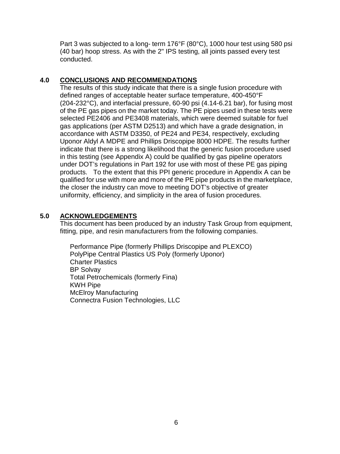Part 3 was subjected to a long- term 176°F (80°C), 1000 hour test using 580 psi (40 bar) hoop stress. As with the 2" IPS testing, all joints passed every test conducted.

#### <span id="page-9-0"></span>**4.0 CONCLUSIONS AND RECOMMENDATIONS**

The results of this study indicate that there is a single fusion procedure with defined ranges of acceptable heater surface temperature, 400-450°F (204-232°C), and interfacial pressure, 60-90 psi (4.14-6.21 bar), for fusing most of the PE gas pipes on the market today. The PE pipes used in these tests were selected PE2406 and PE3408 materials, which were deemed suitable for fuel gas applications (per ASTM D2513) and which have a grade designation, in accordance with ASTM D3350, of PE24 and PE34, respectively, excluding Uponor Aldyl A MDPE and Phillips Driscopipe 8000 HDPE. The results further indicate that there is a strong likelihood that the generic fusion procedure used in this testing (see Appendix A) could be qualified by gas pipeline operators under DOT's regulations in Part 192 for use with most of these PE gas piping products. To the extent that this PPI generic procedure in Appendix A can be qualified for use with more and more of the PE pipe products in the marketplace, the closer the industry can move to meeting DOT's objective of greater uniformity, efficiency, and simplicity in the area of fusion procedures.

#### <span id="page-9-1"></span>**5.0 ACKNOWLEDGEMENTS**

This document has been produced by an industry Task Group from equipment, fitting, pipe, and resin manufacturers from the following companies.

Performance Pipe (formerly Phillips Driscopipe and PLEXCO) PolyPipe Central Plastics US Poly (formerly Uponor) Charter Plastics BP Solvay Total Petrochemicals (formerly Fina) KWH Pipe McElroy Manufacturing Connectra Fusion Technologies, LLC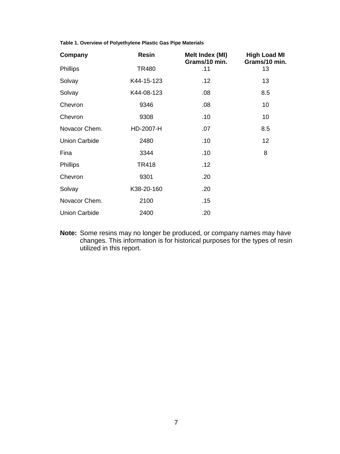<span id="page-10-0"></span>**Table 1. Overview of Polyethylene Plastic Gas Pipe Materials** 

| Company              | <b>Resin</b> | Melt Index (MI)<br>Grams/10 min. | <b>High Load MI</b><br>Grams/10 min. |
|----------------------|--------------|----------------------------------|--------------------------------------|
| <b>Phillips</b>      | <b>TR480</b> | .11                              | 13                                   |
| Solvay               | K44-15-123   | .12                              | 13                                   |
| Solvay               | K44-08-123   | .08                              | 8.5                                  |
| Chevron              | 9346         | .08                              | 10                                   |
| Chevron              | 9308         | .10                              | 10                                   |
| Novacor Chem.        | HD-2007-H    | .07                              | 8.5                                  |
| <b>Union Carbide</b> | 2480         | .10                              | 12                                   |
| Fina                 | 3344         | .10                              | 8                                    |
| <b>Phillips</b>      | <b>TR418</b> | .12                              |                                      |
| Chevron              | 9301         | .20                              |                                      |
| Solvay               | K38-20-160   | .20                              |                                      |
| Novacor Chem.        | 2100         | .15                              |                                      |
| <b>Union Carbide</b> | 2400         | .20                              |                                      |

**Note:** Some resins may no longer be produced, or company names may have changes. This information is for historical purposes for the types of resin utilized in this report.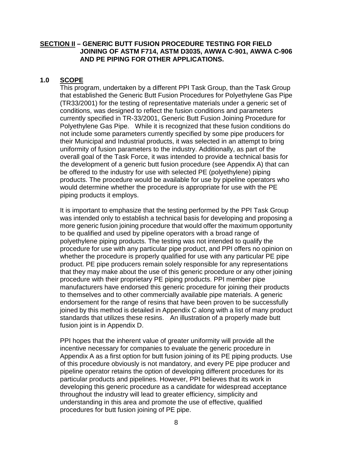#### <span id="page-11-0"></span>**SECTION II – GENERIC BUTT FUSION PROCEDURE TESTING FOR FIELD JOINING OF ASTM F714, ASTM D3035, AWWA C-901, AWWA C-906 AND PE PIPING FOR OTHER APPLICATIONS.**

#### <span id="page-11-1"></span>**1.0 SCOPE**

This program, undertaken by a different PPI Task Group, than the Task Group that established the Generic Butt Fusion Procedures for Polyethylene Gas Pipe (TR33/2001) for the testing of representative materials under a generic set of conditions, was designed to reflect the fusion conditions and parameters currently specified in TR-33/2001, Generic Butt Fusion Joining Procedure for Polyethylene Gas Pipe. While it is recognized that these fusion conditions do not include some parameters currently specified by some pipe producers for their Municipal and Industrial products, it was selected in an attempt to bring uniformity of fusion parameters to the industry. Additionally, as part of the overall goal of the Task Force, it was intended to provide a technical basis for the development of a generic butt fusion procedure (see Appendix A) that can be offered to the industry for use with selected PE (polyethylene) piping products. The procedure would be available for use by pipeline operators who would determine whether the procedure is appropriate for use with the PE piping products it employs.

It is important to emphasize that the testing performed by the PPI Task Group was intended only to establish a technical basis for developing and proposing a more generic fusion joining procedure that would offer the maximum opportunity to be qualified and used by pipeline operators with a broad range of polyethylene piping products. The testing was not intended to qualify the procedure for use with any particular pipe product, and PPI offers no opinion on whether the procedure is properly qualified for use with any particular PE pipe product. PE pipe producers remain solely responsible for any representations that they may make about the use of this generic procedure or any other joining procedure with their proprietary PE piping products. PPI member pipe manufacturers have endorsed this generic procedure for joining their products to themselves and to other commercially available pipe materials. A generic endorsement for the range of resins that have been proven to be successfully joined by this method is detailed in Appendix C along with a list of many product standards that utilizes these resins. An illustration of a properly made butt fusion joint is in Appendix D.

PPI hopes that the inherent value of greater uniformity will provide all the incentive necessary for companies to evaluate the generic procedure in Appendix A as a first option for butt fusion joining of its PE piping products. Use of this procedure obviously is not mandatory, and every PE pipe producer and pipeline operator retains the option of developing different procedures for its particular products and pipelines. However, PPI believes that its work in developing this generic procedure as a candidate for widespread acceptance throughout the industry will lead to greater efficiency, simplicity and understanding in this area and promote the use of effective, qualified procedures for butt fusion joining of PE pipe.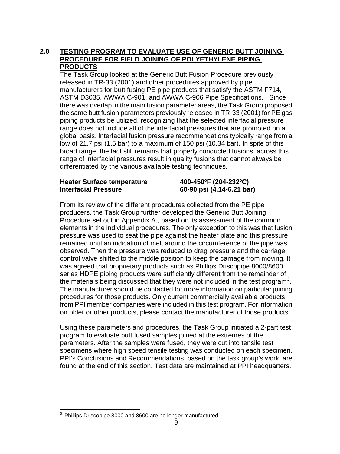#### <span id="page-12-0"></span>**2.0 TESTING PROGRAM TO EVALUATE USE OF GENERIC BUTT JOINING PROCEDURE FOR FIELD JOINING OF POLYETHYLENE PIPING PRODUCTS**

The Task Group looked at the Generic Butt Fusion Procedure previously released in TR-33 (2001) and other procedures approved by pipe manufacturers for butt fusing PE pipe products that satisfy the ASTM F714, ASTM D3035, AWWA C-901, and AWWA C-906 Pipe Specifications. Since there was overlap in the main fusion parameter areas, the Task Group proposed the same butt fusion parameters previously released in TR-33 (2001) for PE gas piping products be utilized, recognizing that the selected interfacial pressure range does not include all of the interfacial pressures that are promoted on a global basis. Interfacial fusion pressure recommendations typically range from a low of 21.7 psi (1.5 bar) to a maximum of 150 psi (10.34 bar). In spite of this broad range, the fact still remains that properly conducted fusions, across this range of interfacial pressures result in quality fusions that cannot always be differentiated by the various available testing techniques.

#### **Heater Surface temperature 400-450ºF (204-232ºC) Interfacial Pressure 60-90 psi (4.14-6.21 bar)**

From its review of the different procedures collected from the PE pipe producers, the Task Group further developed the Generic Butt Joining Procedure set out in Appendix A., based on its assessment of the common elements in the individual procedures. The only exception to this was that fusion pressure was used to seat the pipe against the heater plate and this pressure remained until an indication of melt around the circumference of the pipe was observed. Then the pressure was reduced to drag pressure and the carriage control valve shifted to the middle position to keep the carriage from moving. It was agreed that proprietary products such as Phillips Driscopipe 8000/8600 series HDPE piping products were sufficiently different from the remainder of the materials being discussed that they were not included in the test program<sup>[3](#page-12-1)</sup>. The manufacturer should be contacted for more information on particular joining procedures for those products. Only current commercially available products from PPI member companies were included in this test program. For information on older or other products, please contact the manufacturer of those products.

Using these parameters and procedures, the Task Group initiated a 2-part test program to evaluate butt fused samples joined at the extremes of the parameters. After the samples were fused, they were cut into tensile test specimens where high speed tensile testing was conducted on each specimen. PPI's Conclusions and Recommendations, based on the task group's work, are found at the end of this section. Test data are maintained at PPI headquarters.

<span id="page-12-1"></span> $3$  Phillips Driscopipe 8000 and 8600 are no longer manufactured.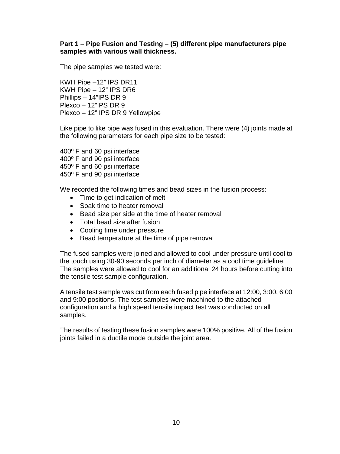#### <span id="page-13-0"></span>**Part 1 – Pipe Fusion and Testing – (5) different pipe manufacturers pipe samples with various wall thickness.**

The pipe samples we tested were:

KWH Pipe –12" IPS DR11 KWH Pipe – 12" IPS DR6 Phillips – 14"IPS DR 9 Plexco – 12"IPS DR 9 Plexco – 12" IPS DR 9 Yellowpipe

Like pipe to like pipe was fused in this evaluation. There were (4) joints made at the following parameters for each pipe size to be tested:

400º F and 60 psi interface 400º F and 90 psi interface 450º F and 60 psi interface 450º F and 90 psi interface

We recorded the following times and bead sizes in the fusion process:

- Time to get indication of melt
- Soak time to heater removal
- Bead size per side at the time of heater removal
- Total bead size after fusion
- Cooling time under pressure
- Bead temperature at the time of pipe removal

The fused samples were joined and allowed to cool under pressure until cool to the touch using 30-90 seconds per inch of diameter as a cool time guideline. The samples were allowed to cool for an additional 24 hours before cutting into the tensile test sample configuration.

A tensile test sample was cut from each fused pipe interface at 12:00, 3:00, 6:00 and 9:00 positions. The test samples were machined to the attached configuration and a high speed tensile impact test was conducted on all samples.

The results of testing these fusion samples were 100% positive. All of the fusion joints failed in a ductile mode outside the joint area.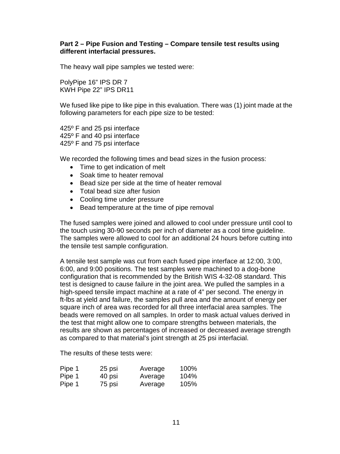#### <span id="page-14-0"></span>**Part 2 – Pipe Fusion and Testing – Compare tensile test results using different interfacial pressures.**

The heavy wall pipe samples we tested were:

PolyPipe 16" IPS DR 7 KWH Pipe 22" IPS DR11

We fused like pipe to like pipe in this evaluation. There was (1) joint made at the following parameters for each pipe size to be tested:

425º F and 25 psi interface 425º F and 40 psi interface 425º F and 75 psi interface

We recorded the following times and bead sizes in the fusion process:

- Time to get indication of melt
- Soak time to heater removal
- Bead size per side at the time of heater removal
- Total bead size after fusion
- Cooling time under pressure
- Bead temperature at the time of pipe removal

The fused samples were joined and allowed to cool under pressure until cool to the touch using 30-90 seconds per inch of diameter as a cool time guideline. The samples were allowed to cool for an additional 24 hours before cutting into the tensile test sample configuration.

A tensile test sample was cut from each fused pipe interface at 12:00, 3:00, 6:00, and 9:00 positions. The test samples were machined to a dog-bone configuration that is recommended by the British WIS 4-32-08 standard. This test is designed to cause failure in the joint area. We pulled the samples in a high-speed tensile impact machine at a rate of 4" per second. The energy in ft-lbs at yield and failure, the samples pull area and the amount of energy per square inch of area was recorded for all three interfacial area samples. The beads were removed on all samples. In order to mask actual values derived in the test that might allow one to compare strengths between materials, the results are shown as percentages of increased or decreased average strength as compared to that material's joint strength at 25 psi interfacial.

The results of these tests were:

| Pipe 1 | 25 psi | Average | 100% |
|--------|--------|---------|------|
| Pipe 1 | 40 psi | Average | 104% |
| Pipe 1 | 75 psi | Average | 105% |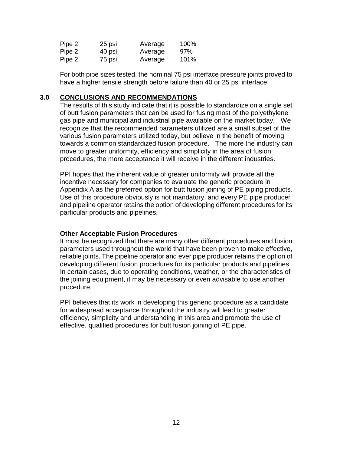| Pipe 2 | 25 psi | Average | 100% |
|--------|--------|---------|------|
| Pipe 2 | 40 psi | Average | 97%  |
| Pipe 2 | 75 psi | Average | 101% |

For both pipe sizes tested, the nominal 75 psi interface pressure joints proved to have a higher tensile strength before failure than 40 or 25 psi interface.

#### <span id="page-15-0"></span>**3.0 CONCLUSIONS AND RECOMMENDATIONS**

The results of this study indicate that it is possible to standardize on a single set of butt fusion parameters that can be used for fusing most of the polyethylene gas pipe and municipal and industrial pipe available on the market today. We recognize that the recommended parameters utilized are a small subset of the various fusion parameters utilized today, but believe in the benefit of moving towards a common standardized fusion procedure. The more the industry can move to greater uniformity, efficiency and simplicity in the area of fusion procedures, the more acceptance it will receive in the different industries.

PPI hopes that the inherent value of greater uniformity will provide all the incentive necessary for companies to evaluate the generic procedure in Appendix A as the preferred option for butt fusion joining of PE piping products. Use of this procedure obviously is not mandatory, and every PE pipe producer and pipeline operator retains the option of developing different procedures for its particular products and pipelines.

#### <span id="page-15-1"></span>**Other Acceptable Fusion Procedures**

It must be recognized that there are many other different procedures and fusion parameters used throughout the world that have been proven to make effective, reliable joints. The pipeline operator and ever pipe producer retains the option of developing different fusion procedures for its particular products and pipelines. In certain cases, due to operating conditions, weather, or the characteristics of the joining equipment, it may be necessary or even advisable to use another procedure.

PPI believes that its work in developing this generic procedure as a candidate for widespread acceptance throughout the industry will lead to greater efficiency, simplicity and understanding in this area and promote the use of effective, qualified procedures for butt fusion joining of PE pipe.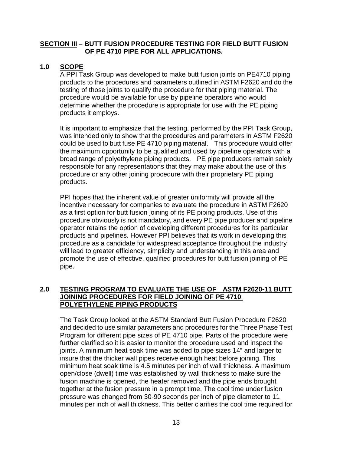#### <span id="page-16-0"></span>**SECTION III – BUTT FUSION PROCEDURE TESTING FOR FIELD BUTT FUSION OF PE 4710 PIPE FOR ALL APPLICATIONS.**

#### <span id="page-16-1"></span>**1.0 SCOPE**

A PPI Task Group was developed to make butt fusion joints on PE4710 piping products to the procedures and parameters outlined in ASTM F2620 and do the testing of those joints to qualify the procedure for that piping material. The procedure would be available for use by pipeline operators who would determine whether the procedure is appropriate for use with the PE piping products it employs.

It is important to emphasize that the testing, performed by the PPI Task Group, was intended only to show that the procedures and parameters in ASTM F2620 could be used to butt fuse PE 4710 piping material. This procedure would offer the maximum opportunity to be qualified and used by pipeline operators with a broad range of polyethylene piping products. PE pipe producers remain solely responsible for any representations that they may make about the use of this procedure or any other joining procedure with their proprietary PE piping products.

PPI hopes that the inherent value of greater uniformity will provide all the incentive necessary for companies to evaluate the procedure in ASTM F2620 as a first option for butt fusion joining of its PE piping products. Use of this procedure obviously is not mandatory, and every PE pipe producer and pipeline operator retains the option of developing different procedures for its particular products and pipelines. However PPI believes that its work in developing this procedure as a candidate for widespread acceptance throughout the industry will lead to greater efficiency, simplicity and understanding in this area and promote the use of effective, qualified procedures for butt fusion joining of PE pipe.

#### <span id="page-16-2"></span>**2.0 TESTING PROGRAM TO EVALUATE THE USE OF ASTM F2620-11 BUTT JOINING PROCEDURES FOR FIELD JOINING OF PE 4710 POLYETHYLENE PIPING PRODUCTS**

The Task Group looked at the ASTM Standard Butt Fusion Procedure F2620 and decided to use similar parameters and procedures for the Three Phase Test Program for different pipe sizes of PE 4710 pipe. Parts of the procedure were further clarified so it is easier to monitor the procedure used and inspect the joints. A minimum heat soak time was added to pipe sizes 14" and larger to insure that the thicker wall pipes receive enough heat before joining. This minimum heat soak time is 4.5 minutes per inch of wall thickness. A maximum open/close (dwell) time was established by wall thickness to make sure the fusion machine is opened, the heater removed and the pipe ends brought together at the fusion pressure in a prompt time. The cool time under fusion pressure was changed from 30-90 seconds per inch of pipe diameter to 11 minutes per inch of wall thickness. This better clarifies the cool time required for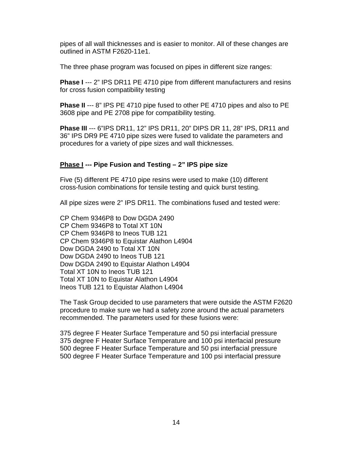pipes of all wall thicknesses and is easier to monitor. All of these changes are outlined in ASTM F2620-11e1.

The three phase program was focused on pipes in different size ranges:

**Phase I** --- 2" IPS DR11 PE 4710 pipe from different manufacturers and resins for cross fusion compatibility testing

**Phase II** --- 8" IPS PE 4710 pipe fused to other PE 4710 pipes and also to PE 3608 pipe and PE 2708 pipe for compatibility testing.

**Phase III** --- 6"IPS DR11, 12" IPS DR11, 20" DIPS DR 11, 28" IPS, DR11 and 36" IPS DR9 PE 4710 pipe sizes were fused to validate the parameters and procedures for a variety of pipe sizes and wall thicknesses.

#### <span id="page-17-0"></span>**Phase I --- Pipe Fusion and Testing – 2" IPS pipe size**

Five (5) different PE 4710 pipe resins were used to make (10) different cross-fusion combinations for tensile testing and quick burst testing.

All pipe sizes were 2" IPS DR11. The combinations fused and tested were:

CP Chem 9346P8 to Dow DGDA 2490 CP Chem 9346P8 to Total XT 10N CP Chem 9346P8 to Ineos TUB 121 CP Chem 9346P8 to Equistar Alathon L4904 Dow DGDA 2490 to Total XT 10N Dow DGDA 2490 to Ineos TUB 121 Dow DGDA 2490 to Equistar Alathon L4904 Total XT 10N to Ineos TUB 121 Total XT 10N to Equistar Alathon L4904 Ineos TUB 121 to Equistar Alathon L4904

The Task Group decided to use parameters that were outside the ASTM F2620 procedure to make sure we had a safety zone around the actual parameters recommended. The parameters used for these fusions were:

375 degree F Heater Surface Temperature and 50 psi interfacial pressure 375 degree F Heater Surface Temperature and 100 psi interfacial pressure 500 degree F Heater Surface Temperature and 50 psi interfacial pressure 500 degree F Heater Surface Temperature and 100 psi interfacial pressure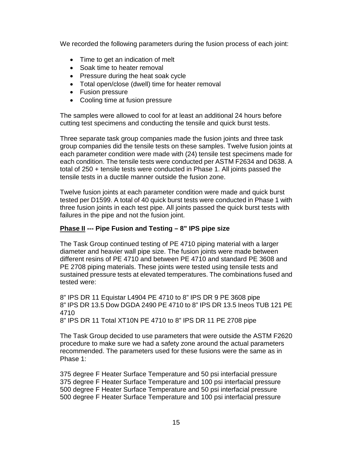We recorded the following parameters during the fusion process of each joint:

- Time to get an indication of melt
- Soak time to heater removal
- Pressure during the heat soak cycle
- Total open/close (dwell) time for heater removal
- Fusion pressure
- Cooling time at fusion pressure

The samples were allowed to cool for at least an additional 24 hours before cutting test specimens and conducting the tensile and quick burst tests.

Three separate task group companies made the fusion joints and three task group companies did the tensile tests on these samples. Twelve fusion joints at each parameter condition were made with (24) tensile test specimens made for each condition. The tensile tests were conducted per ASTM F2634 and D638. A total of 250 + tensile tests were conducted in Phase 1. All joints passed the tensile tests in a ductile manner outside the fusion zone.

Twelve fusion joints at each parameter condition were made and quick burst tested per D1599. A total of 40 quick burst tests were conducted in Phase 1 with three fusion joints in each test pipe. All joints passed the quick burst tests with failures in the pipe and not the fusion joint.

#### <span id="page-18-0"></span>**Phase II --- Pipe Fusion and Testing – 8" IPS pipe size**

The Task Group continued testing of PE 4710 piping material with a larger diameter and heavier wall pipe size. The fusion joints were made between different resins of PE 4710 and between PE 4710 and standard PE 3608 and PE 2708 piping materials. These joints were tested using tensile tests and sustained pressure tests at elevated temperatures. The combinations fused and tested were:

8" IPS DR 11 Equistar L4904 PE 4710 to 8" IPS DR 9 PE 3608 pipe 8" IPS DR 13.5 Dow DGDA 2490 PE 4710 to 8" IPS DR 13.5 Ineos TUB 121 PE 4710 8" IPS DR 11 Total XT10N PE 4710 to 8" IPS DR 11 PE 2708 pipe

The Task Group decided to use parameters that were outside the ASTM F2620 procedure to make sure we had a safety zone around the actual parameters recommended. The parameters used for these fusions were the same as in Phase 1:

375 degree F Heater Surface Temperature and 50 psi interfacial pressure 375 degree F Heater Surface Temperature and 100 psi interfacial pressure 500 degree F Heater Surface Temperature and 50 psi interfacial pressure 500 degree F Heater Surface Temperature and 100 psi interfacial pressure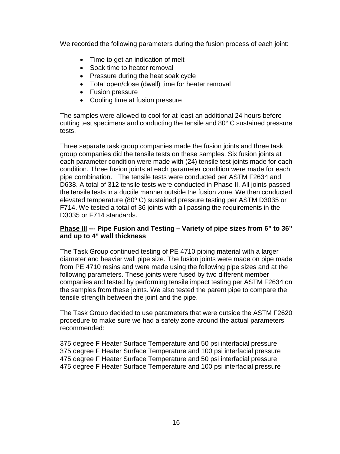We recorded the following parameters during the fusion process of each joint:

- Time to get an indication of melt
- Soak time to heater removal
- Pressure during the heat soak cycle
- Total open/close (dwell) time for heater removal
- Fusion pressure
- Cooling time at fusion pressure

The samples were allowed to cool for at least an additional 24 hours before cutting test specimens and conducting the tensile and 80° C sustained pressure tests.

Three separate task group companies made the fusion joints and three task group companies did the tensile tests on these samples. Six fusion joints at each parameter condition were made with (24) tensile test joints made for each condition. Three fusion joints at each parameter condition were made for each pipe combination. The tensile tests were conducted per ASTM F2634 and D638. A total of 312 tensile tests were conducted in Phase II. All joints passed the tensile tests in a ductile manner outside the fusion zone. We then conducted elevated temperature (80º C) sustained pressure testing per ASTM D3035 or F714. We tested a total of 36 joints with all passing the requirements in the D3035 or F714 standards.

#### <span id="page-19-0"></span>**Phase III --- Pipe Fusion and Testing – Variety of pipe sizes from 6" to 36" and up to 4" wall thickness**

The Task Group continued testing of PE 4710 piping material with a larger diameter and heavier wall pipe size. The fusion joints were made on pipe made from PE 4710 resins and were made using the following pipe sizes and at the following parameters. These joints were fused by two different member companies and tested by performing tensile impact testing per ASTM F2634 on the samples from these joints. We also tested the parent pipe to compare the tensile strength between the joint and the pipe.

The Task Group decided to use parameters that were outside the ASTM F2620 procedure to make sure we had a safety zone around the actual parameters recommended:

375 degree F Heater Surface Temperature and 50 psi interfacial pressure 375 degree F Heater Surface Temperature and 100 psi interfacial pressure 475 degree F Heater Surface Temperature and 50 psi interfacial pressure 475 degree F Heater Surface Temperature and 100 psi interfacial pressure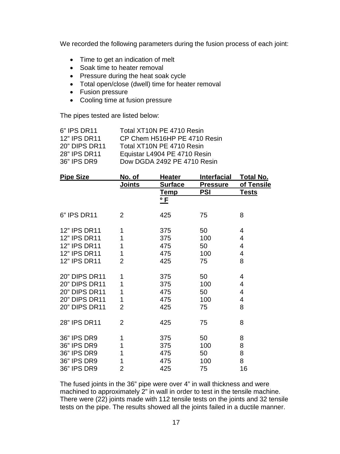We recorded the following parameters during the fusion process of each joint:

- Time to get an indication of melt
- Soak time to heater removal
- Pressure during the heat soak cycle
- Total open/close (dwell) time for heater removal
- Fusion pressure
- Cooling time at fusion pressure

The pipes tested are listed below:

| 6" IPS DR11          | Total XT10N PE 4710 Resin    |
|----------------------|------------------------------|
| 12" IPS DR11         | CP Chem H516HP PE 4710 Resin |
| <b>20" DIPS DR11</b> | Total XT10N PE 4710 Resin    |
| 28" IPS DR11         | Equistar L4904 PE 4710 Resin |
| 36" IPS DR9          | Dow DGDA 2492 PE 4710 Resin  |
|                      |                              |

| <b>Pipe Size</b>     | <u>No. of</u>  | <u>Heater</u>  | <u>Interfacial</u> | <u>Total No.</u> |
|----------------------|----------------|----------------|--------------------|------------------|
|                      | <u>Joints</u>  | <b>Surface</b> | <b>Pressure</b>    | of Tensile       |
|                      |                | <u>Temp</u>    | <b>PSI</b>         | <u>Tests</u>     |
|                      |                | $^{\circ}$ F   |                    |                  |
| 6" IPS DR11          | $\overline{2}$ | 425            | 75                 | 8                |
|                      |                |                |                    |                  |
| 12" IPS DR11         | 1              | 375            | 50                 | 4                |
| 12" IPS DR11         | 1              | 375            | 100                | 4                |
| 12" IPS DR11         | 1              | 475            | 50                 | 4                |
| <b>12" IPS DR11</b>  | 1              | 475            | 100                | 4                |
| 12" IPS DR11         | 2              | 425            | 75                 | 8                |
| <b>20" DIPS DR11</b> | 1              | 375            | 50                 | 4                |
| <b>20" DIPS DR11</b> | 1              | 375            | 100                | 4                |
| 20" DIPS DR11        | 1              | 475            | 50                 | 4                |
| <b>20" DIPS DR11</b> | 1              | 475            | 100                | 4                |
| 20" DIPS DR11        | $\overline{2}$ | 425            | 75                 | 8                |
| 28" IPS DR11         | $\overline{2}$ | 425            | 75                 | 8                |
| 36" IPS DR9          | 1              | 375            | 50                 | 8                |
| 36" IPS DR9          | 1              | 375            | 100                | 8                |
| 36" IPS DR9          | 1              | 475            | 50                 | 8                |
| 36" IPS DR9          | 1              | 475            | 100                | 8                |
| 36" IPS DR9          | 2              | 425            | 75                 | 16               |

The fused joints in the 36" pipe were over 4" in wall thickness and were machined to approximately 2" in wall in order to test in the tensile machine. There were (22) joints made with 112 tensile tests on the joints and 32 tensile tests on the pipe. The results showed all the joints failed in a ductile manner.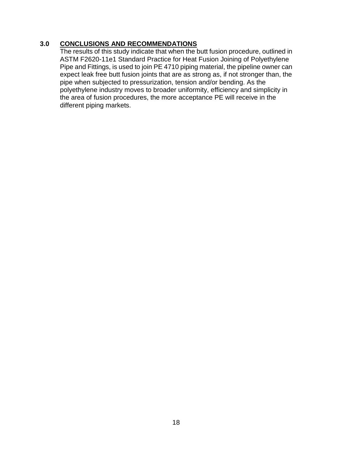#### <span id="page-21-0"></span>**3.0 CONCLUSIONS AND RECOMMENDATIONS**

The results of this study indicate that when the butt fusion procedure, outlined in ASTM F2620-11e1 Standard Practice for Heat Fusion Joining of Polyethylene Pipe and Fittings, is used to join PE 4710 piping material, the pipeline owner can expect leak free butt fusion joints that are as strong as, if not stronger than, the pipe when subjected to pressurization, tension and/or bending. As the polyethylene industry moves to broader uniformity, efficiency and simplicity in the area of fusion procedures, the more acceptance PE will receive in the different piping markets.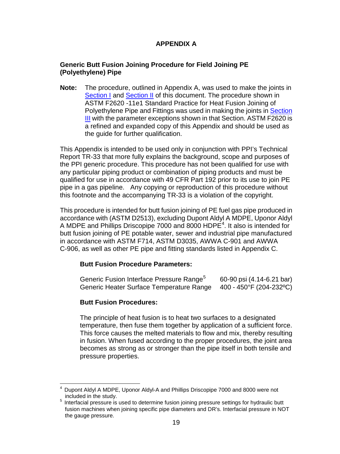### **APPENDIX A**

#### <span id="page-22-1"></span><span id="page-22-0"></span>**Generic Butt Fusion Joining Procedure for Field Joining PE (Polyethylene) Pipe**

**Note:** The procedure, outlined in Appendix A, was used to make the joints in [Section I](#page-4-0) and [Section II](#page-11-0) of this document. The procedure shown in ASTM F2620 -11e1 Standard Practice for Heat Fusion Joining of Polyethylene Pipe and Fittings was used in making the joints in [Section](#page-16-0)  **[III](#page-16-0)** with the parameter exceptions shown in that Section. ASTM F2620 is a refined and expanded copy of this Appendix and should be used as the guide for further qualification.

This Appendix is intended to be used only in conjunction with PPI's Technical Report TR-33 that more fully explains the background, scope and purposes of the PPI generic procedure. This procedure has not been qualified for use with any particular piping product or combination of piping products and must be qualified for use in accordance with 49 CFR Part 192 prior to its use to join PE pipe in a gas pipeline. Any copying or reproduction of this procedure without this footnote and the accompanying TR-33 is a violation of the copyright.

This procedure is intended for butt fusion joining of PE fuel gas pipe produced in accordance with (ASTM D2513), excluding Dupont Aldyl A MDPE, Uponor Aldyl A MDPE and Phillips Driscopipe 7000 and 8000 HDPE<sup>[4](#page-22-2)</sup>. It also is intended for butt fusion joining of PE potable water, sewer and industrial pipe manufactured in accordance with ASTM F714, ASTM D3035, AWWA C-901 and AWWA C-906, as well as other PE pipe and fitting standards listed in Appendix C.

#### **Butt Fusion Procedure Parameters:**

| Generic Fusion Interface Pressure Range <sup>5</sup> | 60-90 psi (4.14-6.21 bar) |
|------------------------------------------------------|---------------------------|
| Generic Heater Surface Temperature Range             | 400 - 450°F (204-232°C)   |

#### **Butt Fusion Procedures:**

The principle of heat fusion is to heat two surfaces to a designated temperature, then fuse them together by application of a sufficient force. This force causes the melted materials to flow and mix, thereby resulting in fusion. When fused according to the proper procedures, the joint area becomes as strong as or stronger than the pipe itself in both tensile and pressure properties.

<span id="page-22-2"></span>Dupont Aldyl A MDPE, Uponor Aldyl-A and Phillips Driscopipe 7000 and 8000 were not included in the study.

<span id="page-22-3"></span><sup>&</sup>lt;sup>5</sup> Interfacial pressure is used to determine fusion joining pressure settings for hydraulic butt fusion machines when joining specific pipe diameters and DR's. Interfacial pressure in NOT the gauge pressure.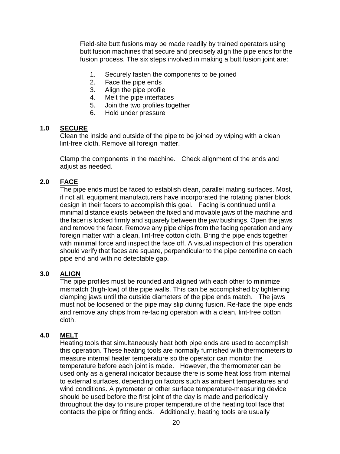Field-site butt fusions may be made readily by trained operators using butt fusion machines that secure and precisely align the pipe ends for the fusion process. The six steps involved in making a butt fusion joint are:

- 1. Securely fasten the components to be joined
- 2. Face the pipe ends
- 3. Align the pipe profile
- 4. Melt the pipe interfaces
- 5. Join the two profiles together
- 6. Hold under pressure

#### <span id="page-23-0"></span>**1.0 SECURE**

Clean the inside and outside of the pipe to be joined by wiping with a clean lint-free cloth. Remove all foreign matter.

Clamp the components in the machine. Check alignment of the ends and adjust as needed.

#### <span id="page-23-1"></span>**2.0 FACE**

The pipe ends must be faced to establish clean, parallel mating surfaces. Most, if not all, equipment manufacturers have incorporated the rotating planer block design in their facers to accomplish this goal. Facing is continued until a minimal distance exists between the fixed and movable jaws of the machine and the facer is locked firmly and squarely between the jaw bushings. Open the jaws and remove the facer. Remove any pipe chips from the facing operation and any foreign matter with a clean, lint-free cotton cloth. Bring the pipe ends together with minimal force and inspect the face off. A visual inspection of this operation should verify that faces are square, perpendicular to the pipe centerline on each pipe end and with no detectable gap.

#### <span id="page-23-2"></span>**3.0 ALIGN**

The pipe profiles must be rounded and aligned with each other to minimize mismatch (high-low) of the pipe walls. This can be accomplished by tightening clamping jaws until the outside diameters of the pipe ends match. The jaws must not be loosened or the pipe may slip during fusion. Re-face the pipe ends and remove any chips from re-facing operation with a clean, lint-free cotton cloth.

#### <span id="page-23-3"></span>**4.0 MELT**

Heating tools that simultaneously heat both pipe ends are used to accomplish this operation. These heating tools are normally furnished with thermometers to measure internal heater temperature so the operator can monitor the temperature before each joint is made. However, the thermometer can be used only as a general indicator because there is some heat loss from internal to external surfaces, depending on factors such as ambient temperatures and wind conditions. A pyrometer or other surface temperature-measuring device should be used before the first joint of the day is made and periodically throughout the day to insure proper temperature of the heating tool face that contacts the pipe or fitting ends. Additionally, heating tools are usually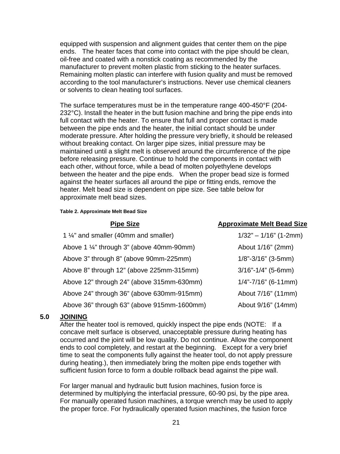equipped with suspension and alignment guides that center them on the pipe ends. The heater faces that come into contact with the pipe should be clean, oil-free and coated with a nonstick coating as recommended by the manufacturer to prevent molten plastic from sticking to the heater surfaces. Remaining molten plastic can interfere with fusion quality and must be removed according to the tool manufacturer's instructions. Never use chemical cleaners or solvents to clean heating tool surfaces.

The surface temperatures must be in the temperature range 400-450°F (204- 232°C). Install the heater in the butt fusion machine and bring the pipe ends into full contact with the heater. To ensure that full and proper contact is made between the pipe ends and the heater, the initial contact should be under moderate pressure. After holding the pressure very briefly, it should be released without breaking contact. On larger pipe sizes, initial pressure may be maintained until a slight melt is observed around the circumference of the pipe before releasing pressure. Continue to hold the components in contact with each other, without force, while a bead of molten polyethylene develops between the heater and the pipe ends. When the proper bead size is formed against the heater surfaces all around the pipe or fitting ends, remove the heater. Melt bead size is dependent on pipe size. See table below for approximate melt bead sizes.

#### **Table 2. Approximate Melt Bead Size**

| <b>Pipe Size</b>                                     | <b>Approximate Melt Bead Size</b> |
|------------------------------------------------------|-----------------------------------|
| 1 1/4" and smaller (40mm and smaller)                | $1/32" - 1/16"$ (1-2mm)           |
| Above 1 $\frac{1}{4}$ " through 3" (above 40mm-90mm) | About 1/16" (2mm)                 |
| Above 3" through 8" (above 90mm-225mm)               | $1/8$ "-3/16" (3-5mm)             |
| Above 8" through 12" (above 225mm-315mm)             | $3/16$ "-1/4" (5-6mm)             |
| Above 12" through 24" (above 315mm-630mm)            | $1/4$ "-7/16" (6-11mm)            |
| Above 24" through 36" (above 630mm-915mm)            | About 7/16" (11mm)                |
| Above 36" through 63" (above 915mm-1600mm)           | About 9/16" (14mm)                |

#### <span id="page-24-0"></span>**5.0 JOINING**

After the heater tool is removed, quickly inspect the pipe ends (NOTE: If a concave melt surface is observed, unacceptable pressure during heating has occurred and the joint will be low quality. Do not continue. Allow the component ends to cool completely, and restart at the beginning. Except for a very brief time to seat the components fully against the heater tool, do not apply pressure during heating.), then immediately bring the molten pipe ends together with sufficient fusion force to form a double rollback bead against the pipe wall.

For larger manual and hydraulic butt fusion machines, fusion force is determined by multiplying the interfacial pressure, 60-90 psi, by the pipe area. For manually operated fusion machines, a torque wrench may be used to apply the proper force. For hydraulically operated fusion machines, the fusion force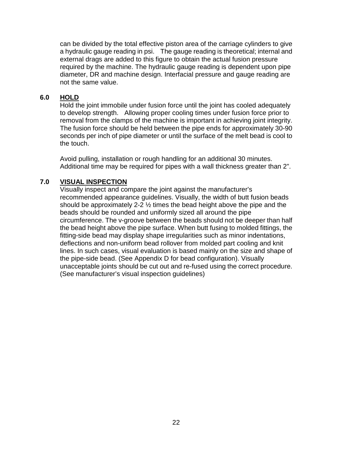can be divided by the total effective piston area of the carriage cylinders to give a hydraulic gauge reading in psi. The gauge reading is theoretical; internal and external drags are added to this figure to obtain the actual fusion pressure required by the machine. The hydraulic gauge reading is dependent upon pipe diameter, DR and machine design. Interfacial pressure and gauge reading are not the same value.

#### <span id="page-25-0"></span>**6.0 HOLD**

Hold the joint immobile under fusion force until the joint has cooled adequately to develop strength. Allowing proper cooling times under fusion force prior to removal from the clamps of the machine is important in achieving joint integrity. The fusion force should be held between the pipe ends for approximately 30-90 seconds per inch of pipe diameter or until the surface of the melt bead is cool to the touch.

Avoid pulling, installation or rough handling for an additional 30 minutes. Additional time may be required for pipes with a wall thickness greater than 2".

#### <span id="page-25-1"></span>**7.0 VISUAL INSPECTION**

Visually inspect and compare the joint against the manufacturer's recommended appearance guidelines. Visually, the width of butt fusion beads should be approximately 2-2  $\frac{1}{2}$  times the bead height above the pipe and the beads should be rounded and uniformly sized all around the pipe circumference. The v-groove between the beads should not be deeper than half the bead height above the pipe surface. When butt fusing to molded fittings, the fitting-side bead may display shape irregularities such as minor indentations, deflections and non-uniform bead rollover from molded part cooling and knit lines. In such cases, visual evaluation is based mainly on the size and shape of the pipe-side bead. (See Appendix D for bead configuration). Visually unacceptable joints should be cut out and re-fused using the correct procedure. (See manufacturer's visual inspection guidelines)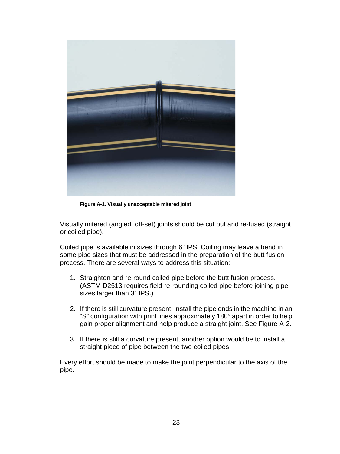

**Figure A-1. Visually unacceptable mitered joint** 

Visually mitered (angled, off-set) joints should be cut out and re-fused (straight or coiled pipe).

Coiled pipe is available in sizes through 6" IPS. Coiling may leave a bend in some pipe sizes that must be addressed in the preparation of the butt fusion process. There are several ways to address this situation:

- 1. Straighten and re-round coiled pipe before the butt fusion process. (ASTM D2513 requires field re-rounding coiled pipe before joining pipe sizes larger than 3" IPS.)
- 2. If there is still curvature present, install the pipe ends in the machine in an "S" configuration with print lines approximately 180° apart in order to help gain proper alignment and help produce a straight joint. See Figure A-2.
- 3. If there is still a curvature present, another option would be to install a straight piece of pipe between the two coiled pipes.

Every effort should be made to make the joint perpendicular to the axis of the pipe.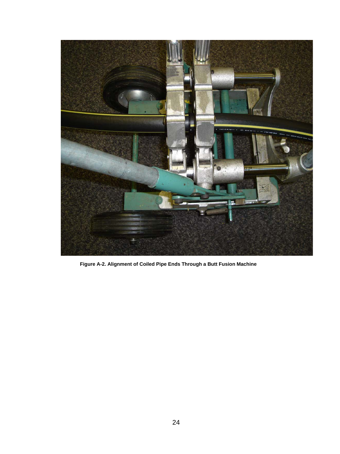

**Figure A-2. Alignment of Coiled Pipe Ends Through a Butt Fusion Machine**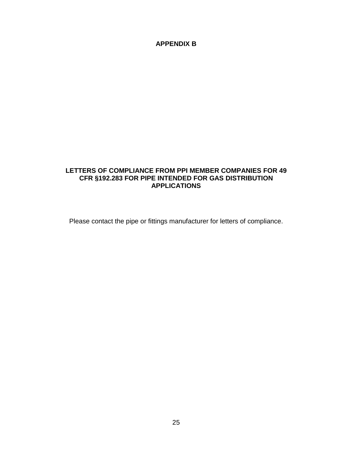#### <span id="page-28-0"></span>**APPENDIX B**

#### <span id="page-28-1"></span>**LETTERS OF COMPLIANCE FROM PPI MEMBER COMPANIES FOR 49 CFR §192.283 FOR PIPE INTENDED FOR GAS DISTRIBUTION APPLICATIONS**

Please contact the pipe or fittings manufacturer for letters of compliance.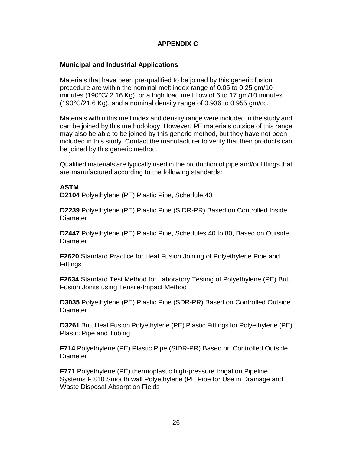#### <span id="page-29-0"></span>**APPENDIX C**

#### <span id="page-29-1"></span>**Municipal and Industrial Applications**

Materials that have been pre-qualified to be joined by this generic fusion procedure are within the nominal melt index range of 0.05 to 0.25 gm/10 minutes (190°C/ 2.16 Kg), or a high load melt flow of 6 to 17 gm/10 minutes (190°C/21.6 Kg), and a nominal density range of 0.936 to 0.955 gm/cc.

Materials within this melt index and density range were included in the study and can be joined by this methodology. However, PE materials outside of this range may also be able to be joined by this generic method, but they have not been included in this study. Contact the manufacturer to verify that their products can be joined by this generic method.

Qualified materials are typically used in the production of pipe and/or fittings that are manufactured according to the following standards:

#### **ASTM**

**D2104** Polyethylene (PE) Plastic Pipe, Schedule 40

**D2239** Polyethylene (PE) Plastic Pipe (SIDR-PR) Based on Controlled Inside **Diameter** 

**D2447** Polyethylene (PE) Plastic Pipe, Schedules 40 to 80, Based on Outside **Diameter** 

**F2620** Standard Practice for Heat Fusion Joining of Polyethylene Pipe and **Fittings** 

**F2634** Standard Test Method for Laboratory Testing of Polyethylene (PE) Butt Fusion Joints using Tensile-Impact Method

**D3035** Polyethylene (PE) Plastic Pipe (SDR-PR) Based on Controlled Outside **Diameter** 

**D3261** Butt Heat Fusion Polyethylene (PE) Plastic Fittings for Polyethylene (PE) Plastic Pipe and Tubing

**F714** Polyethylene (PE) Plastic Pipe (SIDR-PR) Based on Controlled Outside **Diameter** 

**F771** Polyethylene (PE) thermoplastic high-pressure Irrigation Pipeline Systems F 810 Smooth wall Polyethylene (PE Pipe for Use in Drainage and Waste Disposal Absorption Fields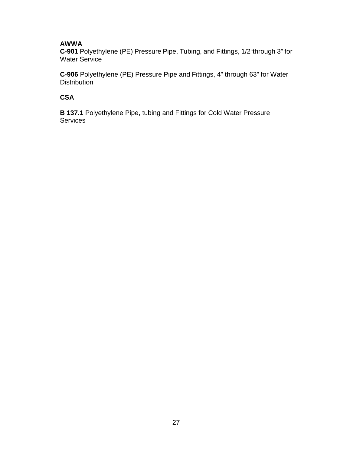#### **AWWA**

**C-901** Polyethylene (PE) Pressure Pipe, Tubing, and Fittings, 1/2"through 3" for Water Service

**C-906** Polyethylene (PE) Pressure Pipe and Fittings, 4" through 63" for Water **Distribution** 

#### **CSA**

**B 137.1** Polyethylene Pipe, tubing and Fittings for Cold Water Pressure **Services**